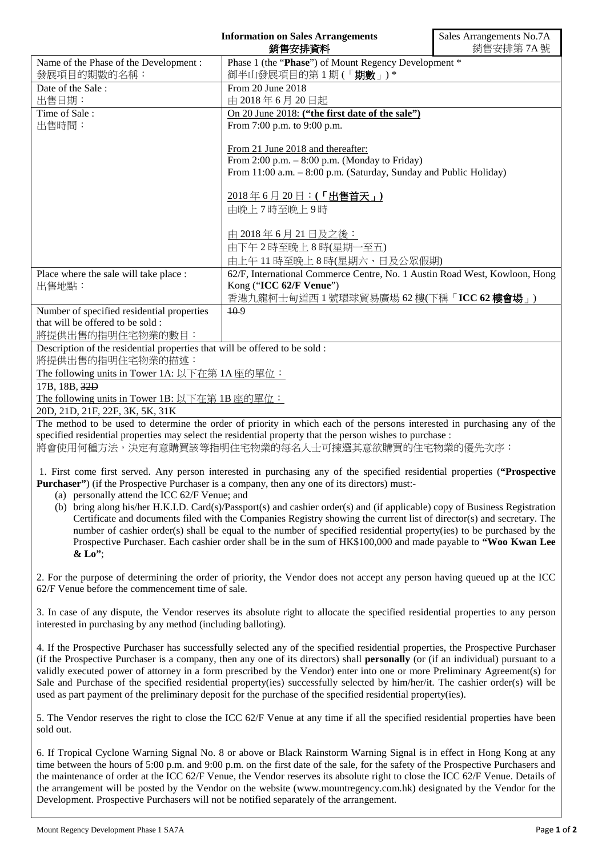|                                                                                                                                                                                                                                                                                                                                                                                                                                                                                                                                                                                                                                                                                                                                                                                                     | <b>Information on Sales Arrangements</b><br>銷售安排資料                             | Sales Arrangements No.7A<br>銷售安排第7A號 |
|-----------------------------------------------------------------------------------------------------------------------------------------------------------------------------------------------------------------------------------------------------------------------------------------------------------------------------------------------------------------------------------------------------------------------------------------------------------------------------------------------------------------------------------------------------------------------------------------------------------------------------------------------------------------------------------------------------------------------------------------------------------------------------------------------------|--------------------------------------------------------------------------------|--------------------------------------|
| Name of the Phase of the Development :                                                                                                                                                                                                                                                                                                                                                                                                                                                                                                                                                                                                                                                                                                                                                              | Phase 1 (the "Phase") of Mount Regency Development *                           |                                      |
| 發展項目的期數的名稱:                                                                                                                                                                                                                                                                                                                                                                                                                                                                                                                                                                                                                                                                                                                                                                                         | 御半山發展項目的第1期(「期數」)*                                                             |                                      |
| Date of the Sale:                                                                                                                                                                                                                                                                                                                                                                                                                                                                                                                                                                                                                                                                                                                                                                                   | From 20 June 2018                                                              |                                      |
| 出售日期:<br>Time of Sale:                                                                                                                                                                                                                                                                                                                                                                                                                                                                                                                                                                                                                                                                                                                                                                              | 由 2018年6月20日起                                                                  |                                      |
| 出售時間:                                                                                                                                                                                                                                                                                                                                                                                                                                                                                                                                                                                                                                                                                                                                                                                               | On 20 June 2018: ("the first date of the sale")<br>From 7:00 p.m. to 9:00 p.m. |                                      |
|                                                                                                                                                                                                                                                                                                                                                                                                                                                                                                                                                                                                                                                                                                                                                                                                     | From 21 June 2018 and thereafter:                                              |                                      |
|                                                                                                                                                                                                                                                                                                                                                                                                                                                                                                                                                                                                                                                                                                                                                                                                     | From 2:00 p.m. $-$ 8:00 p.m. (Monday to Friday)                                |                                      |
|                                                                                                                                                                                                                                                                                                                                                                                                                                                                                                                                                                                                                                                                                                                                                                                                     | From 11:00 a.m. - 8:00 p.m. (Saturday, Sunday and Public Holiday)              |                                      |
|                                                                                                                                                                                                                                                                                                                                                                                                                                                                                                                                                                                                                                                                                                                                                                                                     | 由晚上7時至晚上9時                                                                     |                                      |
|                                                                                                                                                                                                                                                                                                                                                                                                                                                                                                                                                                                                                                                                                                                                                                                                     | 由 2018年6月21日及之後:                                                               |                                      |
|                                                                                                                                                                                                                                                                                                                                                                                                                                                                                                                                                                                                                                                                                                                                                                                                     | 由下午2時至晚上8時(星期一至五)                                                              |                                      |
|                                                                                                                                                                                                                                                                                                                                                                                                                                                                                                                                                                                                                                                                                                                                                                                                     | 由上午11時至晚上8時(星期六、日及公眾假期)                                                        |                                      |
| Place where the sale will take place :                                                                                                                                                                                                                                                                                                                                                                                                                                                                                                                                                                                                                                                                                                                                                              | 62/F, International Commerce Centre, No. 1 Austin Road West, Kowloon, Hong     |                                      |
| 出售地點:                                                                                                                                                                                                                                                                                                                                                                                                                                                                                                                                                                                                                                                                                                                                                                                               | Kong ("ICC 62/F Venue")                                                        |                                      |
|                                                                                                                                                                                                                                                                                                                                                                                                                                                                                                                                                                                                                                                                                                                                                                                                     | 香港九龍柯士甸道西1號環球貿易廣場 62樓(下稱「ICC 62樓會場」)                                           |                                      |
| Number of specified residential properties<br>that will be offered to be sold :                                                                                                                                                                                                                                                                                                                                                                                                                                                                                                                                                                                                                                                                                                                     | $10-9$                                                                         |                                      |
| 將提供出售的指明住宅物業的數目:                                                                                                                                                                                                                                                                                                                                                                                                                                                                                                                                                                                                                                                                                                                                                                                    |                                                                                |                                      |
| Description of the residential properties that will be offered to be sold :<br>將提供出售的指明住宅物業的描述:                                                                                                                                                                                                                                                                                                                                                                                                                                                                                                                                                                                                                                                                                                     |                                                                                |                                      |
| The following units in Tower 1A: 以下在第 1A 座的單位:                                                                                                                                                                                                                                                                                                                                                                                                                                                                                                                                                                                                                                                                                                                                                      |                                                                                |                                      |
| 17B, 18B, 32D                                                                                                                                                                                                                                                                                                                                                                                                                                                                                                                                                                                                                                                                                                                                                                                       |                                                                                |                                      |
| The following units in Tower 1B: 以下在第 1B 座的單位:                                                                                                                                                                                                                                                                                                                                                                                                                                                                                                                                                                                                                                                                                                                                                      |                                                                                |                                      |
| 20D, 21D, 21F, 22F, 3K, 5K, 31K<br>The method to be used to determine the order of priority in which each of the persons interested in purchasing any of the                                                                                                                                                                                                                                                                                                                                                                                                                                                                                                                                                                                                                                        |                                                                                |                                      |
| specified residential properties may select the residential property that the person wishes to purchase :                                                                                                                                                                                                                                                                                                                                                                                                                                                                                                                                                                                                                                                                                           |                                                                                |                                      |
| 將會使用何種方法,決定有意購買該等指明住宅物業的每名人士可揀選其意欲購買的住宅物業的優先次序:                                                                                                                                                                                                                                                                                                                                                                                                                                                                                                                                                                                                                                                                                                                                                     |                                                                                |                                      |
| 1. First come first served. Any person interested in purchasing any of the specified residential properties ("Prospective<br><b>Purchaser</b> ") (if the Prospective Purchaser is a company, then any one of its directors) must:-<br>(a) personally attend the ICC 62/F Venue; and<br>(b) bring along his/her H.K.I.D. Card(s)/Passport(s) and cashier order(s) and (if applicable) copy of Business Registration<br>Certificate and documents filed with the Companies Registry showing the current list of director(s) and secretary. The<br>number of cashier order(s) shall be equal to the number of specified residential property(ies) to be purchased by the<br>Prospective Purchaser. Each cashier order shall be in the sum of HK\$100,000 and made payable to "Woo Kwan Lee<br>$&$ Lo"; |                                                                                |                                      |

2. For the purpose of determining the order of priority, the Vendor does not accept any person having queued up at the ICC 62/F Venue before the commencement time of sale.

3. In case of any dispute, the Vendor reserves its absolute right to allocate the specified residential properties to any person interested in purchasing by any method (including balloting).

4. If the Prospective Purchaser has successfully selected any of the specified residential properties, the Prospective Purchaser (if the Prospective Purchaser is a company, then any one of its directors) shall **personally** (or (if an individual) pursuant to a validly executed power of attorney in a form prescribed by the Vendor) enter into one or more Preliminary Agreement(s) for Sale and Purchase of the specified residential property(ies) successfully selected by him/her/it. The cashier order(s) will be used as part payment of the preliminary deposit for the purchase of the specified residential property(ies).

5. The Vendor reserves the right to close the ICC 62/F Venue at any time if all the specified residential properties have been sold out.

6. If Tropical Cyclone Warning Signal No. 8 or above or Black Rainstorm Warning Signal is in effect in Hong Kong at any time between the hours of 5:00 p.m. and 9:00 p.m. on the first date of the sale, for the safety of the Prospective Purchasers and the maintenance of order at the ICC 62/F Venue, the Vendor reserves its absolute right to close the ICC 62/F Venue. Details of the arrangement will be posted by the Vendor on the website (www.mountregency.com.hk) designated by the Vendor for the Development. Prospective Purchasers will not be notified separately of the arrangement.